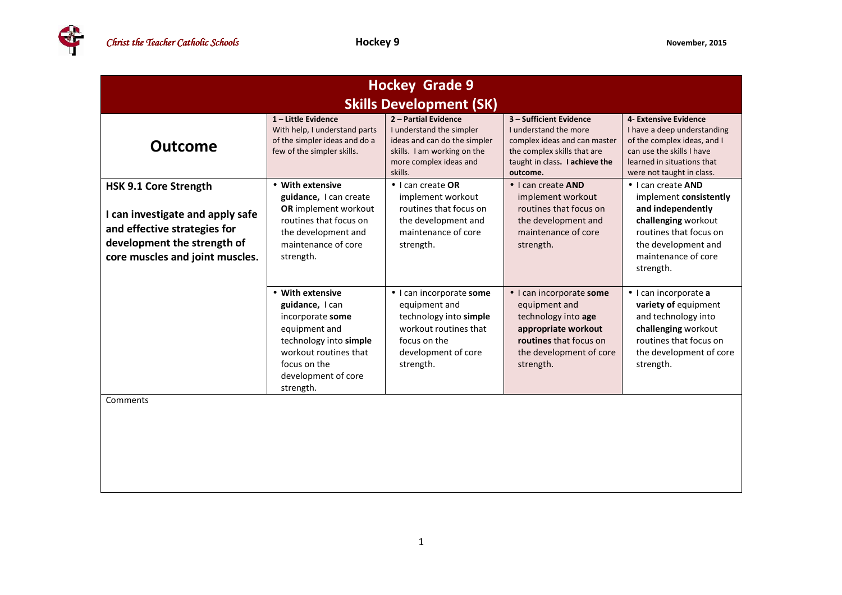**CAL** 

| <b>Hockey Grade 9</b>                                                                                                                                              |                                                                                                                                                                                 |                                                                                                                                                      |                                                                                                                                                               |                                                                                                                                                                               |  |
|--------------------------------------------------------------------------------------------------------------------------------------------------------------------|---------------------------------------------------------------------------------------------------------------------------------------------------------------------------------|------------------------------------------------------------------------------------------------------------------------------------------------------|---------------------------------------------------------------------------------------------------------------------------------------------------------------|-------------------------------------------------------------------------------------------------------------------------------------------------------------------------------|--|
| <b>Skills Development (SK)</b>                                                                                                                                     |                                                                                                                                                                                 |                                                                                                                                                      |                                                                                                                                                               |                                                                                                                                                                               |  |
| <b>Outcome</b>                                                                                                                                                     | 1-Little Evidence<br>With help, I understand parts<br>of the simpler ideas and do a<br>few of the simpler skills.                                                               | 2 - Partial Evidence<br>I understand the simpler<br>ideas and can do the simpler<br>skills. I am working on the<br>more complex ideas and<br>skills. | 3 - Sufficient Evidence<br>I understand the more<br>complex ideas and can master<br>the complex skills that are<br>taught in class. I achieve the<br>outcome. | 4- Extensive Evidence<br>I have a deep understanding<br>of the complex ideas, and I<br>can use the skills I have<br>learned in situations that<br>were not taught in class.   |  |
| <b>HSK 9.1 Core Strength</b><br>I can investigate and apply safe<br>and effective strategies for<br>development the strength of<br>core muscles and joint muscles. | • With extensive<br>guidance, I can create<br>OR implement workout<br>routines that focus on<br>the development and<br>maintenance of core<br>strength.                         | • I can create OR<br>implement workout<br>routines that focus on<br>the development and<br>maintenance of core<br>strength.                          | • I can create AND<br>implement workout<br>routines that focus on<br>the development and<br>maintenance of core<br>strength.                                  | • I can create AND<br>implement consistently<br>and independently<br>challenging workout<br>routines that focus on<br>the development and<br>maintenance of core<br>strength. |  |
|                                                                                                                                                                    | • With extensive<br>guidance, I can<br>incorporate some<br>equipment and<br>technology into simple<br>workout routines that<br>focus on the<br>development of core<br>strength. | • I can incorporate some<br>equipment and<br>technology into simple<br>workout routines that<br>focus on the<br>development of core<br>strength.     | • I can incorporate some<br>equipment and<br>technology into age<br>appropriate workout<br>routines that focus on<br>the development of core<br>strength.     | · I can incorporate a<br>variety of equipment<br>and technology into<br>challenging workout<br>routines that focus on<br>the development of core<br>strength.                 |  |
| Comments                                                                                                                                                           |                                                                                                                                                                                 |                                                                                                                                                      |                                                                                                                                                               |                                                                                                                                                                               |  |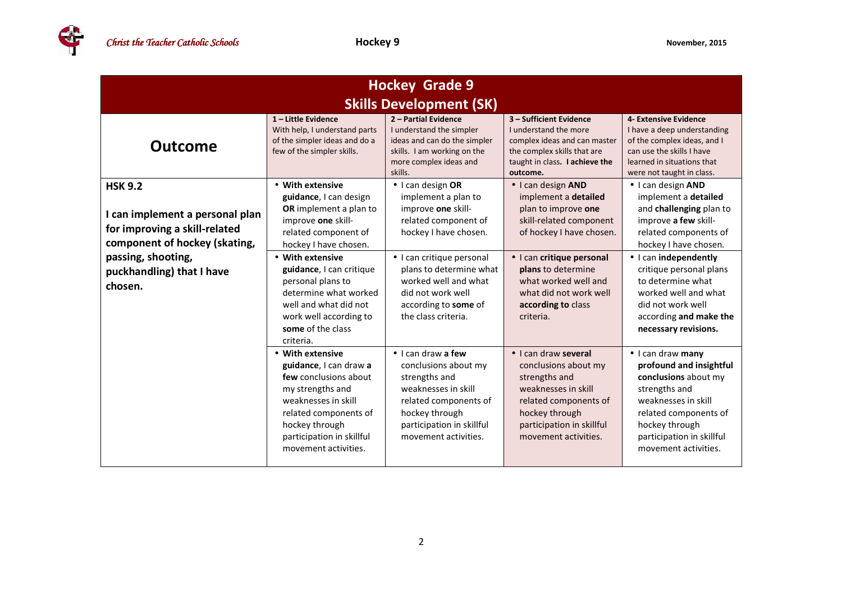| <b>Hockey Grade 9</b>                                                                                                                                                             |                                                                                                                                                                                                                                                                                                                                |                                                                                                                                                                                                                                                                     |                                                                                                                                                                                                                                                                  |                                                                                                                                                                                                                                                                                                                         |  |
|-----------------------------------------------------------------------------------------------------------------------------------------------------------------------------------|--------------------------------------------------------------------------------------------------------------------------------------------------------------------------------------------------------------------------------------------------------------------------------------------------------------------------------|---------------------------------------------------------------------------------------------------------------------------------------------------------------------------------------------------------------------------------------------------------------------|------------------------------------------------------------------------------------------------------------------------------------------------------------------------------------------------------------------------------------------------------------------|-------------------------------------------------------------------------------------------------------------------------------------------------------------------------------------------------------------------------------------------------------------------------------------------------------------------------|--|
| <b>Skills Development (SK)</b>                                                                                                                                                    |                                                                                                                                                                                                                                                                                                                                |                                                                                                                                                                                                                                                                     |                                                                                                                                                                                                                                                                  |                                                                                                                                                                                                                                                                                                                         |  |
| <b>Outcome</b>                                                                                                                                                                    | $1$ – Little Evidence<br>With help, I understand parts<br>of the simpler ideas and do a<br>few of the simpler skills.                                                                                                                                                                                                          | 2 - Partial Evidence<br>I understand the simpler<br>ideas and can do the simpler<br>skills. I am working on the<br>more complex ideas and<br>skills.                                                                                                                | 3 - Sufficient Evidence<br><b>Lunderstand the more</b><br>complex ideas and can master<br>the complex skills that are<br>taught in class. I achieve the<br>outcome.                                                                                              | 4- Extensive Evidence<br>I have a deep understanding<br>of the complex ideas, and I<br>can use the skills I have<br>learned in situations that<br>were not taught in class.                                                                                                                                             |  |
| <b>HSK 9.2</b><br>I can implement a personal plan<br>for improving a skill-related<br>component of hockey (skating,<br>passing, shooting,<br>puckhandling) that I have<br>chosen. | • With extensive<br>guidance, I can design<br>OR implement a plan to<br>improve one skill-<br>related component of<br>hockey I have chosen.<br>• With extensive<br>guidance, I can critique<br>personal plans to<br>determine what worked<br>well and what did not<br>work well according to<br>some of the class<br>criteria. | • I can design OR<br>implement a plan to<br>improve one skill-<br>related component of<br>hockey I have chosen.<br>• I can critique personal<br>plans to determine what<br>worked well and what<br>did not work well<br>according to some of<br>the class criteria. | • I can design AND<br>implement a detailed<br>plan to improve one<br>skill-related component<br>of hockey I have chosen.<br>• I can critique personal<br>plans to determine<br>what worked well and<br>what did not work well<br>according to class<br>criteria. | • I can design AND<br>implement a detailed<br>and challenging plan to<br>improve a few skill-<br>related components of<br>hockey I have chosen.<br>• I can independently<br>critique personal plans<br>to determine what<br>worked well and what<br>did not work well<br>according and make the<br>necessary revisions. |  |
|                                                                                                                                                                                   | • With extensive<br>guidance, I can draw a<br>few conclusions about<br>my strengths and<br>weaknesses in skill<br>related components of<br>hockey through<br>participation in skillful<br>movement activities.                                                                                                                 | • I can draw a few<br>conclusions about my<br>strengths and<br>weaknesses in skill<br>related components of<br>hockey through<br>participation in skillful<br>movement activities.                                                                                  | • I can draw several<br>conclusions about my<br>strengths and<br>weaknesses in skill<br>related components of<br>hockey through<br>participation in skillful<br>movement activities.                                                                             | • I can draw many<br>profound and insightful<br>conclusions about my<br>strengths and<br>weaknesses in skill<br>related components of<br>hockey through<br>participation in skillful<br>movement activities.                                                                                                            |  |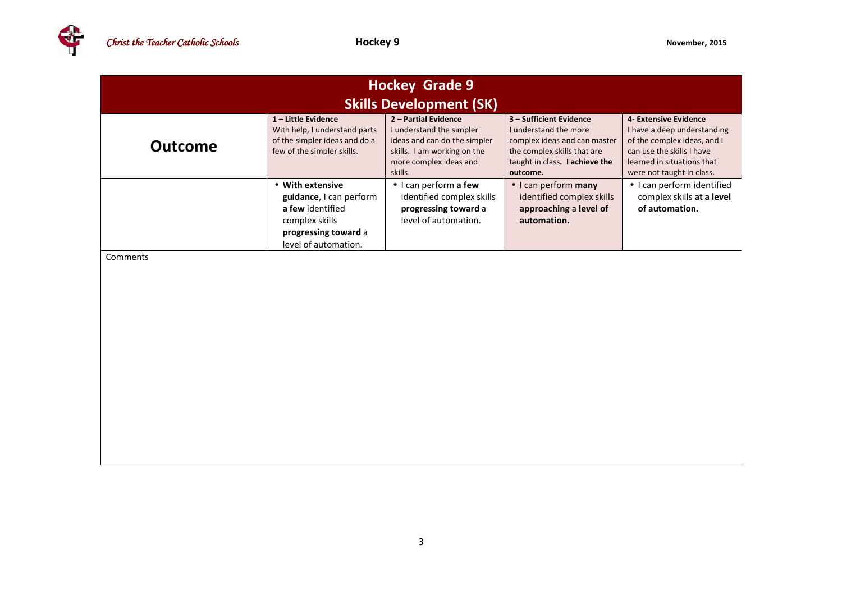

| <b>Hockey Grade 9</b>          |                                                                                                                                   |                                                                                                                                                      |                                                                                                                                                               |                                                                                                                                                                             |  |  |
|--------------------------------|-----------------------------------------------------------------------------------------------------------------------------------|------------------------------------------------------------------------------------------------------------------------------------------------------|---------------------------------------------------------------------------------------------------------------------------------------------------------------|-----------------------------------------------------------------------------------------------------------------------------------------------------------------------------|--|--|
| <b>Skills Development (SK)</b> |                                                                                                                                   |                                                                                                                                                      |                                                                                                                                                               |                                                                                                                                                                             |  |  |
| <b>Outcome</b>                 | 1-Little Evidence<br>With help, I understand parts<br>of the simpler ideas and do a<br>few of the simpler skills.                 | 2 - Partial Evidence<br>I understand the simpler<br>ideas and can do the simpler<br>skills. I am working on the<br>more complex ideas and<br>skills. | 3 - Sufficient Evidence<br>I understand the more<br>complex ideas and can master<br>the complex skills that are<br>taught in class. I achieve the<br>outcome. | 4- Extensive Evidence<br>I have a deep understanding<br>of the complex ideas, and I<br>can use the skills I have<br>learned in situations that<br>were not taught in class. |  |  |
|                                | • With extensive<br>guidance, I can perform<br>a few identified<br>complex skills<br>progressing toward a<br>level of automation. | · I can perform a few<br>identified complex skills<br>progressing toward a<br>level of automation.                                                   | • I can perform many<br>identified complex skills<br>approaching a level of<br>automation.                                                                    | · I can perform identified<br>complex skills at a level<br>of automation.                                                                                                   |  |  |
| Comments                       |                                                                                                                                   |                                                                                                                                                      |                                                                                                                                                               |                                                                                                                                                                             |  |  |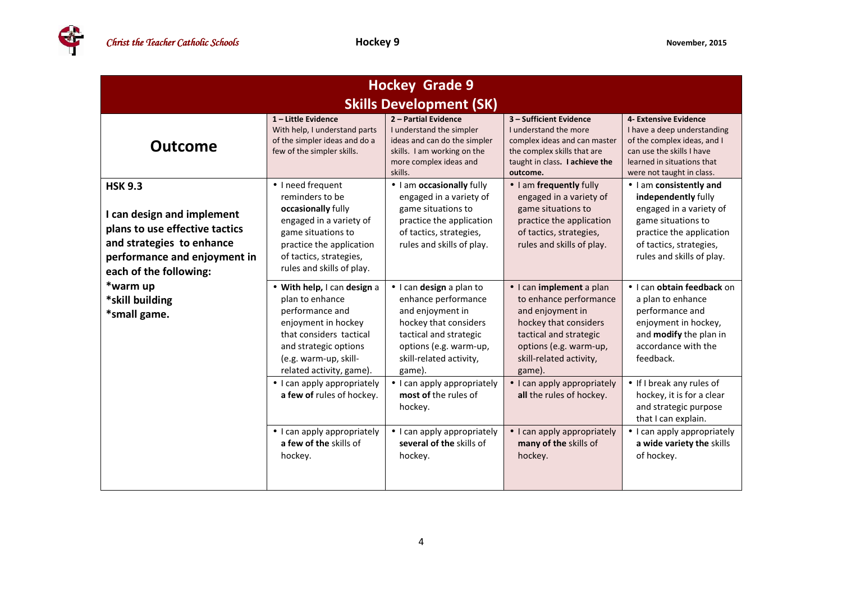Œ

| <b>Hockey Grade 9</b>                                                                                                                                                 |                                                                                                                                                                                                   |                                                                                                                                                                                       |                                                                                                                                                                                          |                                                                                                                                                                                     |  |
|-----------------------------------------------------------------------------------------------------------------------------------------------------------------------|---------------------------------------------------------------------------------------------------------------------------------------------------------------------------------------------------|---------------------------------------------------------------------------------------------------------------------------------------------------------------------------------------|------------------------------------------------------------------------------------------------------------------------------------------------------------------------------------------|-------------------------------------------------------------------------------------------------------------------------------------------------------------------------------------|--|
| <b>Skills Development (SK)</b>                                                                                                                                        |                                                                                                                                                                                                   |                                                                                                                                                                                       |                                                                                                                                                                                          |                                                                                                                                                                                     |  |
| <b>Outcome</b>                                                                                                                                                        | $1$ – Little Evidence<br>With help, I understand parts<br>of the simpler ideas and do a<br>few of the simpler skills.                                                                             | 2 - Partial Evidence<br>I understand the simpler<br>ideas and can do the simpler<br>skills. I am working on the<br>more complex ideas and<br>skills.                                  | 3 - Sufficient Evidence<br>I understand the more<br>complex ideas and can master<br>the complex skills that are<br>taught in class. I achieve the<br>outcome.                            | 4- Extensive Evidence<br>I have a deep understanding<br>of the complex ideas, and I<br>can use the skills I have<br>learned in situations that<br>were not taught in class.         |  |
| <b>HSK 9.3</b><br>I can design and implement<br>plans to use effective tactics<br>and strategies to enhance<br>performance and enjoyment in<br>each of the following: | • I need frequent<br>reminders to be<br>occasionally fully<br>engaged in a variety of<br>game situations to<br>practice the application<br>of tactics, strategies,<br>rules and skills of play.   | · I am occasionally fully<br>engaged in a variety of<br>game situations to<br>practice the application<br>of tactics, strategies,<br>rules and skills of play.                        | • I am frequently fully<br>engaged in a variety of<br>game situations to<br>practice the application<br>of tactics, strategies,<br>rules and skills of play.                             | • I am consistently and<br>independently fully<br>engaged in a variety of<br>game situations to<br>practice the application<br>of tactics, strategies,<br>rules and skills of play. |  |
| *warm up<br>*skill building<br>*small game.                                                                                                                           | • With help, I can design a<br>plan to enhance<br>performance and<br>enjoyment in hockey<br>that considers tactical<br>and strategic options<br>(e.g. warm-up, skill-<br>related activity, game). | • I can design a plan to<br>enhance performance<br>and enjoyment in<br>hockey that considers<br>tactical and strategic<br>options (e.g. warm-up,<br>skill-related activity,<br>game). | • I can implement a plan<br>to enhance performance<br>and enjoyment in<br>hockey that considers<br>tactical and strategic<br>options (e.g. warm-up,<br>skill-related activity,<br>game). | . I can obtain feedback on<br>a plan to enhance<br>performance and<br>enjoyment in hockey,<br>and modify the plan in<br>accordance with the<br>feedback.                            |  |
|                                                                                                                                                                       | • I can apply appropriately<br>a few of rules of hockey.                                                                                                                                          | • I can apply appropriately<br>most of the rules of<br>hockey.                                                                                                                        | • I can apply appropriately<br>all the rules of hockey.                                                                                                                                  | • If I break any rules of<br>hockey, it is for a clear<br>and strategic purpose<br>that I can explain.                                                                              |  |
|                                                                                                                                                                       | • I can apply appropriately<br>a few of the skills of<br>hockey.                                                                                                                                  | • I can apply appropriately<br>several of the skills of<br>hockey.                                                                                                                    | • I can apply appropriately<br>many of the skills of<br>hockey.                                                                                                                          | • I can apply appropriately<br>a wide variety the skills<br>of hockey.                                                                                                              |  |